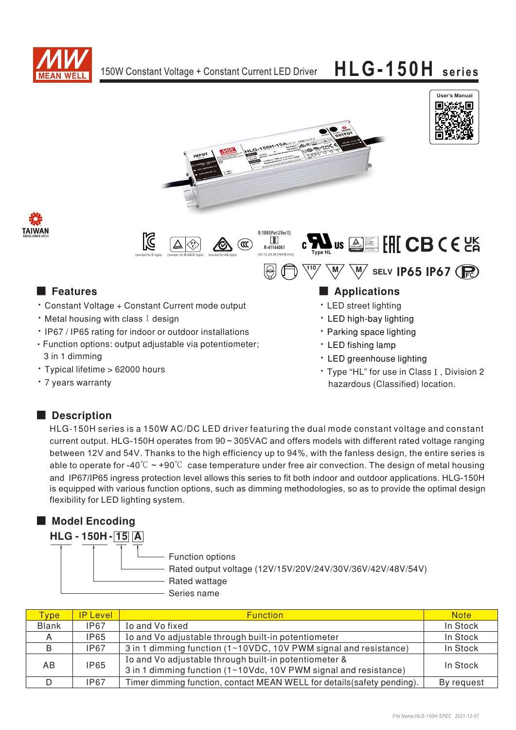







### **E** Features

- \* Constant Voltage + Constant Current mode output
- Metal housing with class I design
- . IP67 / IP65 rating for indoor or outdoor installations · Function options: output adjustable via potentiometer;
- 3 in 1 dimming · Typical lifetime > 62000 hours
- 7 years warranty

## Applications

- LED street lighting
- LED high-bay lighting
- Parking space lighting
- · LED fishing lamp
- \* LED greenhouse lighting
- \* Type "HL" for use in Class I, Division 2 hazardous (Classified) location.

### Description

HLG-150H series is a 150W AC/DC LED driver featuring the dual mode constant voltage and constant current output. HLG-150H operates from 90 ~ 305VAC and offers models with different rated voltage ranging between 12V and 54V. Thanks to the high efficiency up to 94%, with the fanless design, the entire series is able to operate for -40°C  $\sim$  +90°C case temperature under free air convection. The design of metal housing and IP67/IP65 ingress protection level allows this series to fit both indoor and outdoor applications. HLG-150H is equipped with various function options, such as dimming methodologies, so as to provide the optimal design flexibility for LED lighting system.

## Model Encoding

| <b>HLG - 150H - 15 A</b> |                                                                                                                |  |  |  |  |  |  |  |  |
|--------------------------|----------------------------------------------------------------------------------------------------------------|--|--|--|--|--|--|--|--|
|                          | Function options<br>Rated output voltage (12V/15V/20V/24V/30V/36V/42V/48V/54V)<br>Rated wattage<br>Series name |  |  |  |  |  |  |  |  |

| <b>Type</b>  | <b>IP Level</b> | <b>Function</b>                                                                                                           | <b>Note</b> |
|--------------|-----------------|---------------------------------------------------------------------------------------------------------------------------|-------------|
| <b>Blank</b> | <b>IP67</b>     | Io and Vo fixed                                                                                                           | In Stock    |
| A            | <b>IP65</b>     | Io and Vo adjustable through built-in potentiometer                                                                       | In Stock    |
| B            | <b>IP67</b>     | 3 in 1 dimming function (1~10VDC, 10V PWM signal and resistance)                                                          | In Stock    |
| AB.          | <b>IP65</b>     | Io and Vo adjustable through built-in potentiometer &<br>3 in 1 dimming function (1~10Vdc, 10V PWM signal and resistance) | In Stock    |
|              | IP67            | Timer dimming function, contact MEAN WELL for details (safety pending).                                                   | By request  |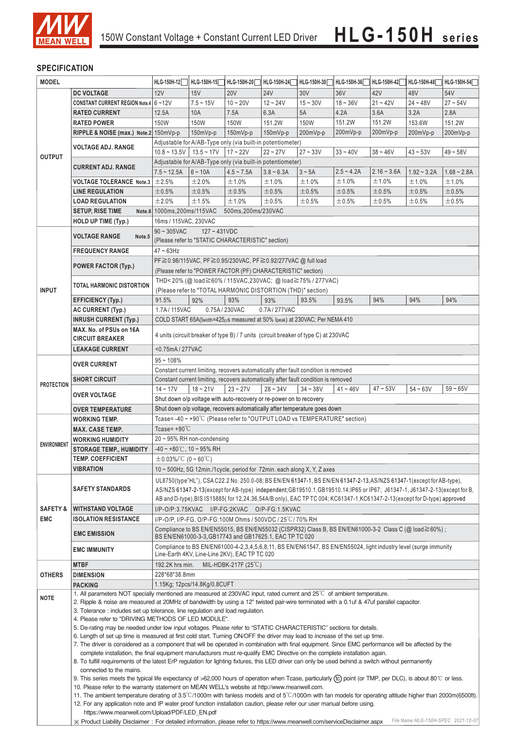

#### **SPECIFICATION**

| <b>MODEL</b>        |                                                                                                                                                                                                                                                                                                                                                                                                                                                                                                                                                                                                                                     | HLG-150H-12                                                                                                                                                                                                                                      | HLG-150H-15                  | HLG-150H-20                   | HLG-150H-24                                                         | HLG-150H-30 | HLG-150H-36  | HLG-150H-42   | HLG-150H-48   | HLG-150H-54   |  |
|---------------------|-------------------------------------------------------------------------------------------------------------------------------------------------------------------------------------------------------------------------------------------------------------------------------------------------------------------------------------------------------------------------------------------------------------------------------------------------------------------------------------------------------------------------------------------------------------------------------------------------------------------------------------|--------------------------------------------------------------------------------------------------------------------------------------------------------------------------------------------------------------------------------------------------|------------------------------|-------------------------------|---------------------------------------------------------------------|-------------|--------------|---------------|---------------|---------------|--|
|                     | <b>DC VOLTAGE</b>                                                                                                                                                                                                                                                                                                                                                                                                                                                                                                                                                                                                                   | 12V                                                                                                                                                                                                                                              | 15V                          | <b>20V</b>                    | <b>24V</b>                                                          | 30V         | 36V          | 42V           | 48V           | 54V           |  |
|                     | CONSTANT CURRENT REGION Note.4 6~12V                                                                                                                                                                                                                                                                                                                                                                                                                                                                                                                                                                                                |                                                                                                                                                                                                                                                  | $7.5 - 15V$                  | $10 - 20V$                    | $12 - 24V$                                                          | $15 - 30V$  | $18 - 36V$   | $21 - 42V$    | $24 - 48V$    | $27 - 54V$    |  |
|                     | <b>RATED CURRENT</b>                                                                                                                                                                                                                                                                                                                                                                                                                                                                                                                                                                                                                | 12.5A                                                                                                                                                                                                                                            | 10A                          | 7.5A                          | 6.3A                                                                | 5A          | 4.2A         | 3.6A          | 3.2A          | 2.8A          |  |
|                     | <b>RATED POWER</b>                                                                                                                                                                                                                                                                                                                                                                                                                                                                                                                                                                                                                  | 150W                                                                                                                                                                                                                                             | 150W                         | 150W                          | 151.2W                                                              | 150W        | 151.2W       | 151.2W        | 153.6W        | 151.2W        |  |
|                     | RIPPLE & NOISE (max.) Note.2 150mVp-p                                                                                                                                                                                                                                                                                                                                                                                                                                                                                                                                                                                               |                                                                                                                                                                                                                                                  | 150mVp-p                     | 150mVp-p                      | $150mVp-p$                                                          | 200mVp-p    | 200mVp-p     | 200mVp-p      | 200mVp-p      | 200mVp-p      |  |
|                     |                                                                                                                                                                                                                                                                                                                                                                                                                                                                                                                                                                                                                                     |                                                                                                                                                                                                                                                  |                              |                               | Adjustable for A/AB-Type only (via built-in potentiometer)          |             |              |               |               |               |  |
|                     | <b>VOLTAGE ADJ. RANGE</b>                                                                                                                                                                                                                                                                                                                                                                                                                                                                                                                                                                                                           | $10.8 \sim 13.5V$   13.5 ~ 17V                                                                                                                                                                                                                   |                              | $17 - 22V$                    | $22 - 27V$                                                          | $27 - 33V$  | $33 - 40V$   | $38 - 46V$    | $43 - 53V$    | $49 - 58V$    |  |
| <b>OUTPUT</b>       |                                                                                                                                                                                                                                                                                                                                                                                                                                                                                                                                                                                                                                     |                                                                                                                                                                                                                                                  |                              |                               | Adjustable for A/AB-Type only (via built-in potentiometer)          |             |              |               |               |               |  |
|                     | <b>CURRENT ADJ. RANGE</b>                                                                                                                                                                                                                                                                                                                                                                                                                                                                                                                                                                                                           | $7.5 - 12.5A$                                                                                                                                                                                                                                    | $6 - 10A$                    | $4.5 - 7.5A$                  | $3.8 - 6.3A$                                                        | $3 \sim 5A$ | $2.5 - 4.2A$ | $2.16 - 3.6A$ | $1.92 - 3.2A$ | $1.68 - 2.8A$ |  |
|                     |                                                                                                                                                                                                                                                                                                                                                                                                                                                                                                                                                                                                                                     | ±2.5%                                                                                                                                                                                                                                            |                              |                               |                                                                     |             | ±1.0%        | ±1.0%         |               |               |  |
|                     | <b>VOLTAGE TOLERANCE Note.3</b>                                                                                                                                                                                                                                                                                                                                                                                                                                                                                                                                                                                                     |                                                                                                                                                                                                                                                  | ±2.0%                        | ±1.0%                         | ±1.0%                                                               | ±1.0%       |              |               | ±1.0%         | ±1.0%         |  |
|                     | <b>LINE REGULATION</b>                                                                                                                                                                                                                                                                                                                                                                                                                                                                                                                                                                                                              | ±0.5%                                                                                                                                                                                                                                            | $\pm 0.5\%$                  | ±0.5%                         | ±0.5%                                                               | ±0.5%       | ±0.5%        | ±0.5%         | ±0.5%         | ±0.5%         |  |
|                     | <b>LOAD REGULATION</b>                                                                                                                                                                                                                                                                                                                                                                                                                                                                                                                                                                                                              | ±2.0%                                                                                                                                                                                                                                            | ±1.5%                        | ±1.0%                         | ±0.5%                                                               | $\pm 0.5\%$ | ±0.5%        | ±0.5%         | ±0.5%         | $\pm 0.5\%$   |  |
|                     | <b>SETUP, RISE TIME</b>                                                                                                                                                                                                                                                                                                                                                                                                                                                                                                                                                                                                             | Note.6 1000ms, 200ms/115VAC<br>500ms, 200ms/230VAC<br>16ms / 115VAC, 230VAC                                                                                                                                                                      |                              |                               |                                                                     |             |              |               |               |               |  |
|                     | <b>HOLD UP TIME (Typ.)</b>                                                                                                                                                                                                                                                                                                                                                                                                                                                                                                                                                                                                          |                                                                                                                                                                                                                                                  |                              |                               |                                                                     |             |              |               |               |               |  |
|                     | <b>VOLTAGE RANGE</b><br>Note.5                                                                                                                                                                                                                                                                                                                                                                                                                                                                                                                                                                                                      | $90 \sim 305$ VAC                                                                                                                                                                                                                                | $127 - 431VDC$               |                               |                                                                     |             |              |               |               |               |  |
|                     |                                                                                                                                                                                                                                                                                                                                                                                                                                                                                                                                                                                                                                     | (Please refer to "STATIC CHARACTERISTIC" section)                                                                                                                                                                                                |                              |                               |                                                                     |             |              |               |               |               |  |
|                     | <b>FREQUENCY RANGE</b>                                                                                                                                                                                                                                                                                                                                                                                                                                                                                                                                                                                                              | 47 ~ 63Hz                                                                                                                                                                                                                                        |                              |                               |                                                                     |             |              |               |               |               |  |
|                     | <b>POWER FACTOR (Typ.)</b>                                                                                                                                                                                                                                                                                                                                                                                                                                                                                                                                                                                                          | PF≧0.98/115VAC, PF≧0.95/230VAC, PF≧0.92/277VAC @ full load                                                                                                                                                                                       |                              |                               |                                                                     |             |              |               |               |               |  |
|                     |                                                                                                                                                                                                                                                                                                                                                                                                                                                                                                                                                                                                                                     | (Please refer to "POWER FACTOR (PF) CHARACTERISTIC" section)                                                                                                                                                                                     |                              |                               |                                                                     |             |              |               |               |               |  |
|                     | <b>TOTAL HARMONIC DISTORTION</b>                                                                                                                                                                                                                                                                                                                                                                                                                                                                                                                                                                                                    |                                                                                                                                                                                                                                                  |                              |                               | THD<20% (@ load≧60% / 115VAC,230VAC; @ load≧75% / 277VAC)           |             |              |               |               |               |  |
| <b>INPUT</b>        |                                                                                                                                                                                                                                                                                                                                                                                                                                                                                                                                                                                                                                     |                                                                                                                                                                                                                                                  |                              |                               | (Please refer to "TOTAL HARMONIC DISTORTION (THD)" section)         |             |              |               |               |               |  |
|                     | <b>EFFICIENCY (Typ.)</b>                                                                                                                                                                                                                                                                                                                                                                                                                                                                                                                                                                                                            | 91.5%                                                                                                                                                                                                                                            | 92%                          | 93%                           | 93%                                                                 | 93.5%       | 93.5%        | 94%           | 94%           | 94%           |  |
|                     | <b>AC CURRENT (Typ.)</b>                                                                                                                                                                                                                                                                                                                                                                                                                                                                                                                                                                                                            | 1.7A / 115VAC                                                                                                                                                                                                                                    |                              | 0.75A / 230VAC                | 0.7A / 277VAC                                                       |             |              |               |               |               |  |
|                     | <b>INRUSH CURRENT (Typ.)</b>                                                                                                                                                                                                                                                                                                                                                                                                                                                                                                                                                                                                        | COLD START 65A(twidth=425µs measured at 50% Ipeak) at 230VAC; Per NEMA 410                                                                                                                                                                       |                              |                               |                                                                     |             |              |               |               |               |  |
|                     | MAX. No. of PSUs on 16A                                                                                                                                                                                                                                                                                                                                                                                                                                                                                                                                                                                                             | 4 units (circuit breaker of type B) / 7 units (circuit breaker of type C) at 230VAC<br><0.75mA / 277VAC                                                                                                                                          |                              |                               |                                                                     |             |              |               |               |               |  |
|                     | <b>CIRCUIT BREAKER</b>                                                                                                                                                                                                                                                                                                                                                                                                                                                                                                                                                                                                              |                                                                                                                                                                                                                                                  |                              |                               |                                                                     |             |              |               |               |               |  |
|                     | <b>LEAKAGE CURRENT</b>                                                                                                                                                                                                                                                                                                                                                                                                                                                                                                                                                                                                              |                                                                                                                                                                                                                                                  |                              |                               |                                                                     |             |              |               |               |               |  |
|                     |                                                                                                                                                                                                                                                                                                                                                                                                                                                                                                                                                                                                                                     | $95 - 108%$<br>Constant current limiting, recovers automatically after fault condition is removed                                                                                                                                                |                              |                               |                                                                     |             |              |               |               |               |  |
|                     | <b>OVER CURRENT</b>                                                                                                                                                                                                                                                                                                                                                                                                                                                                                                                                                                                                                 |                                                                                                                                                                                                                                                  |                              |                               |                                                                     |             |              |               |               |               |  |
|                     | <b>SHORT CIRCUIT</b>                                                                                                                                                                                                                                                                                                                                                                                                                                                                                                                                                                                                                | Constant current limiting, recovers automatically after fault condition is removed                                                                                                                                                               |                              |                               |                                                                     |             |              |               |               |               |  |
| <b>PROTECTION</b>   |                                                                                                                                                                                                                                                                                                                                                                                                                                                                                                                                                                                                                                     | $14 - 17V$                                                                                                                                                                                                                                       | $18 - 21V$                   | $23 - 27V$                    | $28 - 34V$                                                          | $34 - 38V$  | $41 - 46V$   | $47 - 53V$    | $54 - 63V$    | $59 - 65V$    |  |
|                     | <b>OVER VOLTAGE</b>                                                                                                                                                                                                                                                                                                                                                                                                                                                                                                                                                                                                                 |                                                                                                                                                                                                                                                  |                              |                               | Shut down o/p voltage with auto-recovery or re-power on to recovery |             |              |               |               |               |  |
|                     | <b>OVER TEMPERATURE</b>                                                                                                                                                                                                                                                                                                                                                                                                                                                                                                                                                                                                             | Shut down o/p voltage, recovers automatically after temperature goes down                                                                                                                                                                        |                              |                               |                                                                     |             |              |               |               |               |  |
|                     | <b>WORKING TEMP.</b>                                                                                                                                                                                                                                                                                                                                                                                                                                                                                                                                                                                                                | Tcase=-40 ~ +90°C (Please refer to "OUTPUT LOAD vs TEMPERATURE" section)                                                                                                                                                                         |                              |                               |                                                                     |             |              |               |               |               |  |
|                     | <b>MAX. CASE TEMP.</b>                                                                                                                                                                                                                                                                                                                                                                                                                                                                                                                                                                                                              | Tcase= $+90^{\circ}$ C                                                                                                                                                                                                                           |                              |                               |                                                                     |             |              |               |               |               |  |
|                     | <b>WORKING HUMIDITY</b>                                                                                                                                                                                                                                                                                                                                                                                                                                                                                                                                                                                                             | 20~95% RH non-condensing                                                                                                                                                                                                                         |                              |                               |                                                                     |             |              |               |               |               |  |
| <b>ENVIRONMENT</b>  | <b>STORAGE TEMP., HUMIDITY</b>                                                                                                                                                                                                                                                                                                                                                                                                                                                                                                                                                                                                      | $-40 \sim +80^{\circ}$ C, 10 ~ 95% RH                                                                                                                                                                                                            |                              |                               |                                                                     |             |              |               |               |               |  |
|                     | <b>TEMP. COEFFICIENT</b>                                                                                                                                                                                                                                                                                                                                                                                                                                                                                                                                                                                                            | $\pm$ 0.03%/°C (0 ~ 60°C)                                                                                                                                                                                                                        |                              |                               |                                                                     |             |              |               |               |               |  |
|                     | <b>VIBRATION</b>                                                                                                                                                                                                                                                                                                                                                                                                                                                                                                                                                                                                                    |                                                                                                                                                                                                                                                  |                              |                               |                                                                     |             |              |               |               |               |  |
|                     |                                                                                                                                                                                                                                                                                                                                                                                                                                                                                                                                                                                                                                     | 10 $\sim$ 500Hz, 5G 12min./1 cycle, period for 72min. each along X, Y, Z axes                                                                                                                                                                    |                              |                               |                                                                     |             |              |               |               |               |  |
|                     | <b>SAFETY STANDARDS</b>                                                                                                                                                                                                                                                                                                                                                                                                                                                                                                                                                                                                             | UL8750(type"HL"), CSA C22.2 No. 250.0-08; BS EN/EN 61347-1, BS EN/EN 61347-2-13, AS/NZS 61347-1(except for AB-type),<br>AS/NZS 61347-2-13(except for AB-type) independent;GB19510.1,GB19510.14;IP65 or IP67; J61347-1, J61347-2-13(except for B, |                              |                               |                                                                     |             |              |               |               |               |  |
|                     |                                                                                                                                                                                                                                                                                                                                                                                                                                                                                                                                                                                                                                     | AB and D-type), BIS IS15885(for 12,24,36,54A/B only), EAC TP TC 004; KC61347-1, KC61347-2-13(except for D-type) approved                                                                                                                         |                              |                               |                                                                     |             |              |               |               |               |  |
| <b>SAFETY &amp;</b> | <b>WITHSTAND VOLTAGE</b>                                                                                                                                                                                                                                                                                                                                                                                                                                                                                                                                                                                                            | I/P-O/P:3.75KVAC I/P-FG:2KVAC O/P-FG:1.5KVAC                                                                                                                                                                                                     |                              |                               |                                                                     |             |              |               |               |               |  |
| <b>EMC</b>          | <b>ISOLATION RESISTANCE</b>                                                                                                                                                                                                                                                                                                                                                                                                                                                                                                                                                                                                         |                                                                                                                                                                                                                                                  |                              |                               |                                                                     |             |              |               |               |               |  |
|                     |                                                                                                                                                                                                                                                                                                                                                                                                                                                                                                                                                                                                                                     | I/P-O/P, I/P-FG, O/P-FG:100M Ohms / 500VDC / 25 °C / 70% RH<br>Compliance to BS EN/EN55015, BS EN/EN55032 (CISPR32) Class B, BS EN/EN61000-3-2 Class C (@ load $\geq 60\%$ );                                                                    |                              |                               |                                                                     |             |              |               |               |               |  |
|                     | <b>EMC EMISSION</b>                                                                                                                                                                                                                                                                                                                                                                                                                                                                                                                                                                                                                 |                                                                                                                                                                                                                                                  |                              |                               |                                                                     |             |              |               |               |               |  |
|                     |                                                                                                                                                                                                                                                                                                                                                                                                                                                                                                                                                                                                                                     | BS EN/EN61000-3-3, GB17743 and GB17625.1, EAC TP TC 020<br>Compliance to BS EN/EN61000-4-2,3,4,5,6,8,11, BS EN/EN61547, BS EN/EN55024, light industry level (surge immunity                                                                      |                              |                               |                                                                     |             |              |               |               |               |  |
|                     | <b>EMC IMMUNITY</b>                                                                                                                                                                                                                                                                                                                                                                                                                                                                                                                                                                                                                 | Line-Earth 4KV, Line-Line 2KV), EAC TP TC 020                                                                                                                                                                                                    |                              |                               |                                                                     |             |              |               |               |               |  |
|                     | <b>MTBF</b>                                                                                                                                                                                                                                                                                                                                                                                                                                                                                                                                                                                                                         | 192.2K hrs min.                                                                                                                                                                                                                                  |                              | MIL-HDBK-217F $(25^{\circ}C)$ |                                                                     |             |              |               |               |               |  |
| <b>OTHERS</b>       | <b>DIMENSION</b>                                                                                                                                                                                                                                                                                                                                                                                                                                                                                                                                                                                                                    | 228*68*38.8mm                                                                                                                                                                                                                                    |                              |                               |                                                                     |             |              |               |               |               |  |
|                     | <b>PACKING</b>                                                                                                                                                                                                                                                                                                                                                                                                                                                                                                                                                                                                                      |                                                                                                                                                                                                                                                  | 1.15Kg; 12pcs/14.8Kg/0.8CUFT |                               |                                                                     |             |              |               |               |               |  |
| <b>NOTE</b>         |                                                                                                                                                                                                                                                                                                                                                                                                                                                                                                                                                                                                                                     | 1. All parameters NOT specially mentioned are measured at 230VAC input, rated current and $25^{\circ}$ of ambient temperature.                                                                                                                   |                              |                               |                                                                     |             |              |               |               |               |  |
|                     | 2. Ripple & noise are measured at 20MHz of bandwidth by using a 12" twisted pair-wire terminated with a 0.1uf & 47uf parallel capacitor.                                                                                                                                                                                                                                                                                                                                                                                                                                                                                            |                                                                                                                                                                                                                                                  |                              |                               |                                                                     |             |              |               |               |               |  |
|                     | 3. Tolerance: includes set up tolerance, line regulation and load regulation.                                                                                                                                                                                                                                                                                                                                                                                                                                                                                                                                                       |                                                                                                                                                                                                                                                  |                              |                               |                                                                     |             |              |               |               |               |  |
|                     | 4. Please refer to "DRIVING METHODS OF LED MODULE".                                                                                                                                                                                                                                                                                                                                                                                                                                                                                                                                                                                 |                                                                                                                                                                                                                                                  |                              |                               |                                                                     |             |              |               |               |               |  |
|                     | 5. De-rating may be needed under low input voltages. Please refer to "STATIC CHARACTERISTIC" sections for details.                                                                                                                                                                                                                                                                                                                                                                                                                                                                                                                  |                                                                                                                                                                                                                                                  |                              |                               |                                                                     |             |              |               |               |               |  |
|                     | 6. Length of set up time is measured at first cold start. Turning ON/OFF the driver may lead to increase of the set up time.                                                                                                                                                                                                                                                                                                                                                                                                                                                                                                        |                                                                                                                                                                                                                                                  |                              |                               |                                                                     |             |              |               |               |               |  |
|                     | 7. The driver is considered as a component that will be operated in combination with final equipment. Since EMC performance will be affected by the<br>complete installation, the final equipment manufacturers must re-qualify EMC Directive on the complete installation again.<br>8. To fulfill requirements of the latest ErP regulation for lighting fixtures, this LED driver can only be used behind a switch without permanently<br>connected to the mains.<br>9. This series meets the typical life expectancy of >62,000 hours of operation when Tcase, particularly (tc) point (or TMP, per DLC), is about 80°C or less. |                                                                                                                                                                                                                                                  |                              |                               |                                                                     |             |              |               |               |               |  |
|                     |                                                                                                                                                                                                                                                                                                                                                                                                                                                                                                                                                                                                                                     |                                                                                                                                                                                                                                                  |                              |                               |                                                                     |             |              |               |               |               |  |
|                     |                                                                                                                                                                                                                                                                                                                                                                                                                                                                                                                                                                                                                                     |                                                                                                                                                                                                                                                  |                              |                               |                                                                     |             |              |               |               |               |  |
|                     |                                                                                                                                                                                                                                                                                                                                                                                                                                                                                                                                                                                                                                     |                                                                                                                                                                                                                                                  |                              |                               |                                                                     |             |              |               |               |               |  |
|                     | 10. Please refer to the warranty statement on MEAN WELL's website at http://www.meanwell.com.                                                                                                                                                                                                                                                                                                                                                                                                                                                                                                                                       |                                                                                                                                                                                                                                                  |                              |                               |                                                                     |             |              |               |               |               |  |
|                     | 11. The ambient temperature derating of 3.5°C/1000m with fanless models and of 5°C/1000m with fan models for operating altitude higher than 2000m(6500ft).<br>12. For any application note and IP water proof function installation caution, please refer our user manual before using.                                                                                                                                                                                                                                                                                                                                             |                                                                                                                                                                                                                                                  |                              |                               |                                                                     |             |              |               |               |               |  |
|                     |                                                                                                                                                                                                                                                                                                                                                                                                                                                                                                                                                                                                                                     |                                                                                                                                                                                                                                                  |                              |                               |                                                                     |             |              |               |               |               |  |
|                     | https://www.meanwell.com/Upload/PDF/LED EN.pdf<br>File Name: HLG-150H-SPEC 2021-12-07<br>X Product Liability Disclaimer: For detailed information, please refer to https://www.meanwell.com/serviceDisclaimer.aspx                                                                                                                                                                                                                                                                                                                                                                                                                  |                                                                                                                                                                                                                                                  |                              |                               |                                                                     |             |              |               |               |               |  |
|                     |                                                                                                                                                                                                                                                                                                                                                                                                                                                                                                                                                                                                                                     |                                                                                                                                                                                                                                                  |                              |                               |                                                                     |             |              |               |               |               |  |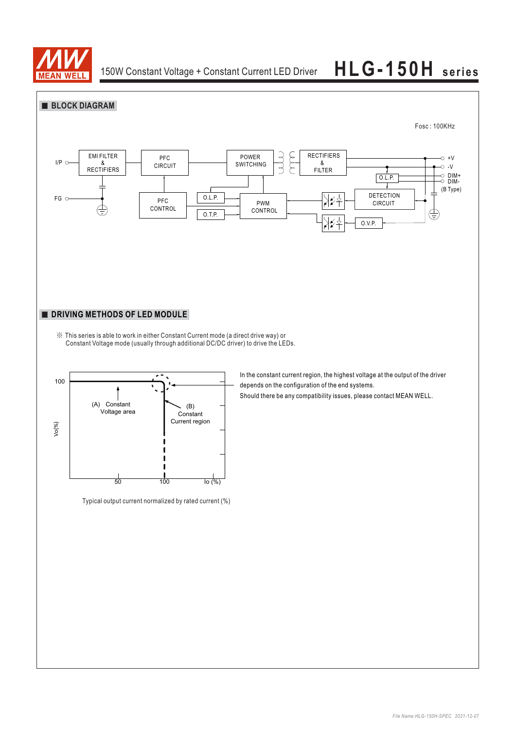

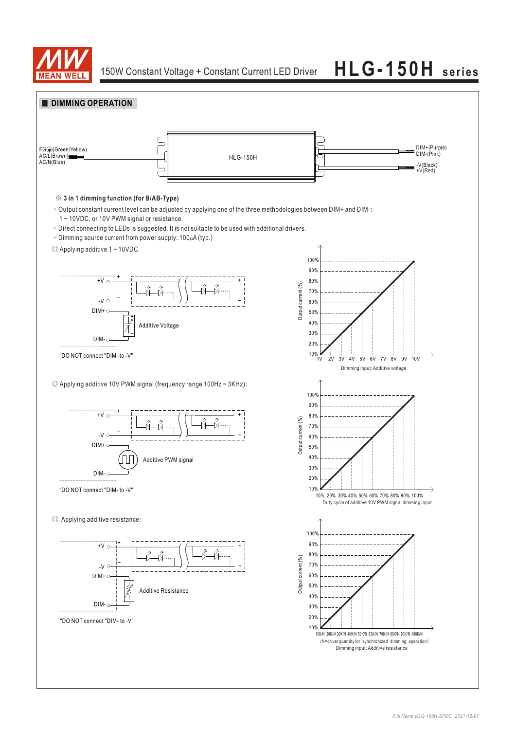

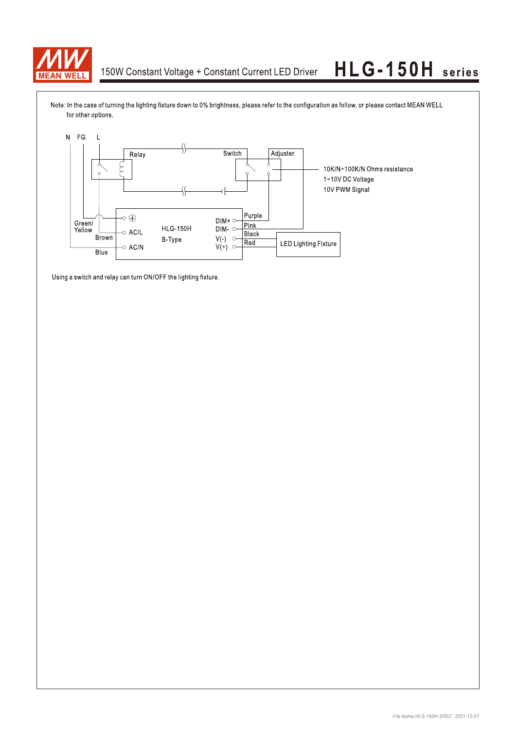

## 150W Constant Voltage + Constant Current LED Driver

# HLG-150H series

Note: In the case of turning the lighting fixture down to 0% brightness, please refer to the configuration as follow, or please contact MEAN WELL for other options.



Using a switch and relay can turn ON/OFF the lighting fixture.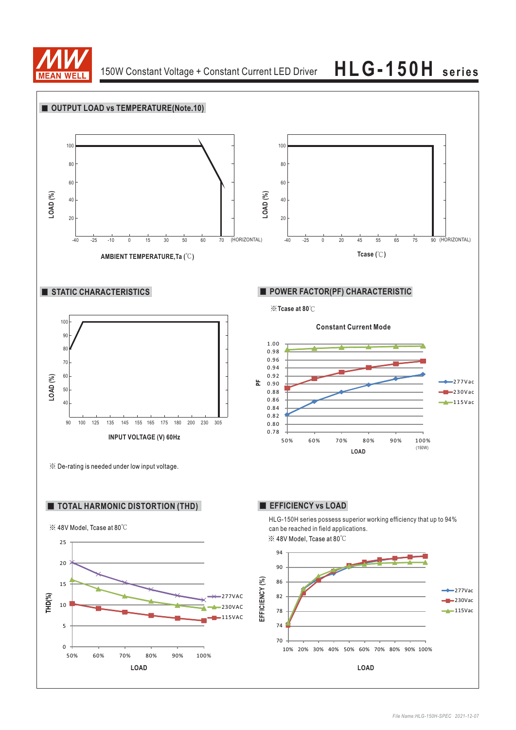

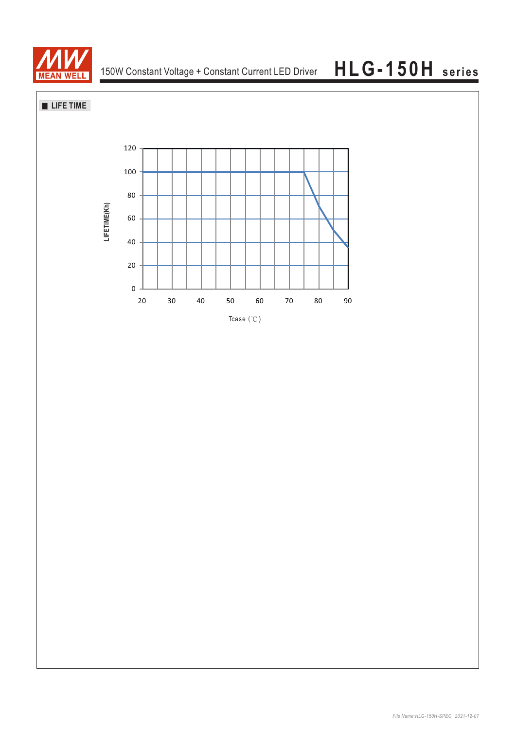

**LIFE TIME**

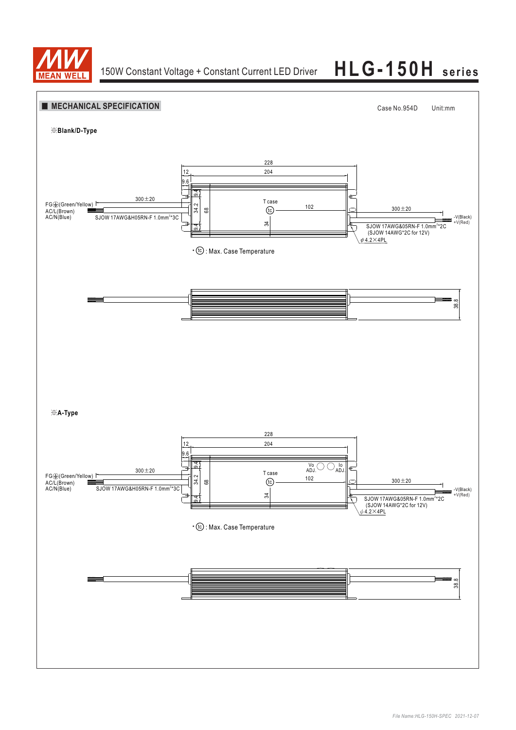

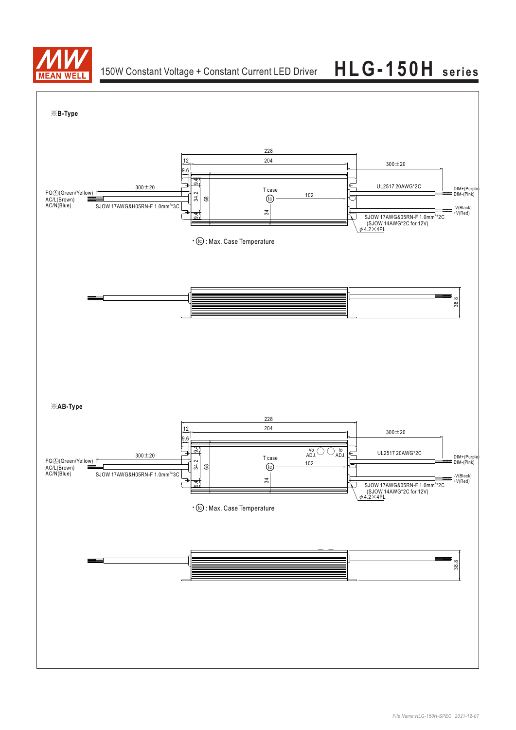